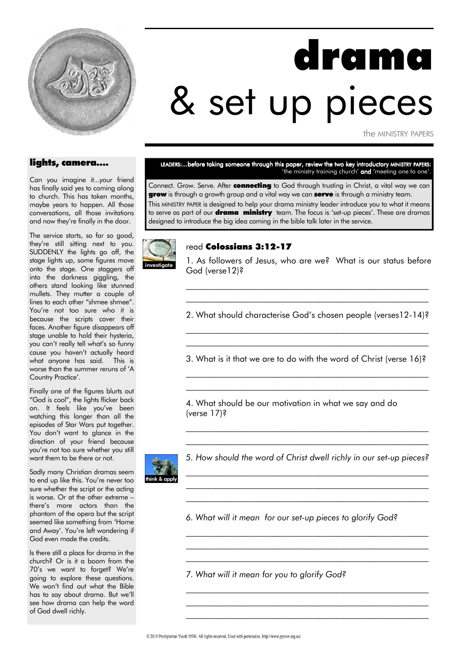

# drama & set up pieces

the MINISTRY PAPERS

#### lights, camera….

Can you imagine it...your friend has finally said yes to coming along to church. This has taken months, maybe years to happen. All those conversations, all those invitations and now they're finally in the door.

The service starts, so far so good, they're still sitting next to you. SUDDENLY the lights go off, the stage lights up, some figures move onto the stage. One staggers off into the darkness giggling, the others stand looking like stunned mullets. They mutter a couple of lines to each other "shmee shmee". You're not too sure who it is because the scripts cover their faces. Another figure disappears off stage unable to hold their hysteria, you can't really tell what's so funny cause you haven't actually heard what anyone has said. This is worse than the summer reruns of 'A Country Practice'.

Finally one of the figures blurts out "God is cool", the lights flicker back on. It feels like you've been watching this longer than all the episodes of Star Wars put together. You don't want to glance in the direction of your friend because you're not too sure whether you still want them to be there or not.

Sadly many Christian dramas seem to end up like this. You're never too sure whether the script or the acting is worse. Or at the other extreme – there's more actors than the phantom of the opera but the script seemed like something from 'Home and Away'. You're left wondering if God even made the credits.

Is there still a place for drama in the church? Or is it a boom from the 70's we want to forget? We're going to explore these questions. We won't find out what the Bible has to say about drama. But we'll see how drama can help the word of God dwell richly.

#### LEADERS:...before taking someone through this paper, review the two key introductory MINISTRY PAPERS: 'the ministry training church' **and** 'meeting one to one'.

Connect. Grow. Serve. After **connecting** to God through trusting in Christ, a vital way we can grow is through a growth group and a vital way we can serve is through a ministry team.

This MINISTRY PAPER is designed to help your drama ministry leader introduce you to what it means to serve as part of our **drama ministry** team. The focus is 'set-up pieces'. These are dramas designed to introduce the big idea coming in the bible talk later in the service.



#### read Colossians 3:12-17

1. As followers of Jesus, who are we? What is our status before God (verse12)?

2. What should characterise God's chosen people (verses12-14)? \_\_\_\_\_\_\_\_\_\_\_\_\_\_\_\_\_\_\_\_\_\_\_\_\_\_\_\_\_\_\_\_\_\_\_\_\_\_\_\_\_\_\_\_\_\_\_\_\_\_\_\_\_\_\_\_\_

\_\_\_\_\_\_\_\_\_\_\_\_\_\_\_\_\_\_\_\_\_\_\_\_\_\_\_\_\_\_\_\_\_\_\_\_\_\_\_\_\_\_\_\_\_\_\_\_\_\_\_\_\_\_\_\_\_ \_\_\_\_\_\_\_\_\_\_\_\_\_\_\_\_\_\_\_\_\_\_\_\_\_\_\_\_\_\_\_\_\_\_\_\_\_\_\_\_\_\_\_\_\_\_\_\_\_\_\_\_\_\_\_\_\_

3. What is it that we are to do with the word of Christ (verse 16)? \_\_\_\_\_\_\_\_\_\_\_\_\_\_\_\_\_\_\_\_\_\_\_\_\_\_\_\_\_\_\_\_\_\_\_\_\_\_\_\_\_\_\_\_\_\_\_\_\_\_\_\_\_\_\_\_\_

\_\_\_\_\_\_\_\_\_\_\_\_\_\_\_\_\_\_\_\_\_\_\_\_\_\_\_\_\_\_\_\_\_\_\_\_\_\_\_\_\_\_\_\_\_\_\_\_\_\_\_\_\_\_\_\_\_

\_\_\_\_\_\_\_\_\_\_\_\_\_\_\_\_\_\_\_\_\_\_\_\_\_\_\_\_\_\_\_\_\_\_\_\_\_\_\_\_\_\_\_\_\_\_\_\_\_\_\_\_\_\_\_\_\_

4. What should be our motivation in what we say and do (verse 17)?



5. How should the word of Christ dwell richly in our set-up pieces? \_\_\_\_\_\_\_\_\_\_\_\_\_\_\_\_\_\_\_\_\_\_\_\_\_\_\_\_\_\_\_\_\_\_\_\_\_\_\_\_\_\_\_\_\_\_\_\_\_\_\_\_\_\_\_\_\_

\_\_\_\_\_\_\_\_\_\_\_\_\_\_\_\_\_\_\_\_\_\_\_\_\_\_\_\_\_\_\_\_\_\_\_\_\_\_\_\_\_\_\_\_\_\_\_\_\_\_\_\_\_\_\_\_\_ \_\_\_\_\_\_\_\_\_\_\_\_\_\_\_\_\_\_\_\_\_\_\_\_\_\_\_\_\_\_\_\_\_\_\_\_\_\_\_\_\_\_\_\_\_\_\_\_\_\_\_\_\_\_\_\_\_

\_\_\_\_\_\_\_\_\_\_\_\_\_\_\_\_\_\_\_\_\_\_\_\_\_\_\_\_\_\_\_\_\_\_\_\_\_\_\_\_\_\_\_\_\_\_\_\_\_\_\_\_\_\_\_\_\_ \_\_\_\_\_\_\_\_\_\_\_\_\_\_\_\_\_\_\_\_\_\_\_\_\_\_\_\_\_\_\_\_\_\_\_\_\_\_\_\_\_\_\_\_\_\_\_\_\_\_\_\_\_\_\_\_\_ \_\_\_\_\_\_\_\_\_\_\_\_\_\_\_\_\_\_\_\_\_\_\_\_\_\_\_\_\_\_\_\_\_\_\_\_\_\_\_\_\_\_\_\_\_\_\_\_\_\_\_\_\_\_\_\_\_

\_\_\_\_\_\_\_\_\_\_\_\_\_\_\_\_\_\_\_\_\_\_\_\_\_\_\_\_\_\_\_\_\_\_\_\_\_\_\_\_\_\_\_\_\_\_\_\_\_\_\_\_\_\_\_\_\_ \_\_\_\_\_\_\_\_\_\_\_\_\_\_\_\_\_\_\_\_\_\_\_\_\_\_\_\_\_\_\_\_\_\_\_\_\_\_\_\_\_\_\_\_\_\_\_\_\_\_\_\_\_\_\_\_\_ \_\_\_\_\_\_\_\_\_\_\_\_\_\_\_\_\_\_\_\_\_\_\_\_\_\_\_\_\_\_\_\_\_\_\_\_\_\_\_\_\_\_\_\_\_\_\_\_\_\_\_\_\_\_\_\_\_

\_\_\_\_\_\_\_\_\_\_\_\_\_\_\_\_\_\_\_\_\_\_\_\_\_\_\_\_\_\_\_\_\_\_\_\_\_\_\_\_\_\_\_\_\_\_\_\_\_\_\_\_\_\_\_\_\_ \_\_\_\_\_\_\_\_\_\_\_\_\_\_\_\_\_\_\_\_\_\_\_\_\_\_\_\_\_\_\_\_\_\_\_\_\_\_\_\_\_\_\_\_\_\_\_\_\_\_\_\_\_\_\_\_\_

6. What will it mean for our set-up pieces to glorify God?

7. What will it mean for you to glorify God?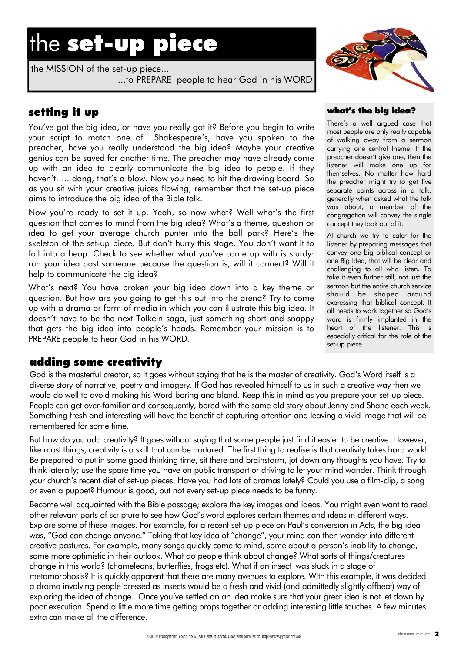## the set-up piece

the MISSION of the set-up piece... ...to PREPARE people to hear God in his WORD



## setting it up

You've got the big idea, or have you really got it? Before you begin to write your script to match one of Shakespeare's, have you spoken to the preacher, have you really understood the big idea? Maybe your creative genius can be saved for another time. The preacher may have already come up with an idea to clearly communicate the big idea to people. If they haven't….. dang, that's a blow. Now you need to hit the drawing board. So as you sit with your creative juices flowing, remember that the set-up piece aims to introduce the big idea of the Bible talk.

Now you're ready to set it up. Yeah, so now what? Well what's the first question that comes to mind from the big idea? What's a theme, question or idea to get your average church punter into the ball park? Here's the skeleton of the set-up piece. But don't hurry this stage. You don't want it to fall into a heap. Check to see whether what you've come up with is sturdy: run your idea past someone because the question is, will it connect? Will it help to communicate the big idea?

What's next? You have broken your big idea down into a key theme or question. But how are you going to get this out into the arena? Try to come up with a drama or form of media in which you can illustrate this big idea. It doesn't have to be the next Tolkein saga, just something short and snappy that gets the big idea into people's heads. Remember your mission is to PREPARE people to hear God in his WORD.

### adding some creativity

God is the masterful creator, so it goes without saying that he is the master of creativity. God's Word itself is a diverse story of narrative, poetry and imagery. If God has revealed himself to us in such a creative way then we would do well to avoid making his Word boring and bland. Keep this in mind as you prepare your set-up piece. People can get over-familiar and consequently, bored with the same old story about Jenny and Shane each week. Something fresh and interesting will have the benefit of capturing attention and leaving a vivid image that will be remembered for some time.

But how do you add creativity? It goes without saying that some people just find it easier to be creative. However, like most things, creativity is a skill that can be nurtured. The first thing to realise is that creativity takes hard work! Be prepared to put in some good thinking time; sit there and brainstorm, jot down any thoughts you have. Try to think laterally; use the spare time you have on public transport or driving to let your mind wander. Think through your church's recent diet of set-up pieces. Have you had lots of dramas lately? Could you use a film-clip, a song or even a puppet? Humour is good, but not every set-up piece needs to be funny.

Become well acquainted with the Bible passage; explore the key images and ideas. You might even want to read other relevant parts of scripture to see how God's word explores certain themes and ideas in different ways. Explore some of these images. For example, for a recent set-up piece on Paul's conversion in Acts, the big idea was, "God can change anyone." Taking that key idea of "change", your mind can then wander into different creative pastures. For example, many songs quickly come to mind, some about a person's inability to change, some more optimistic in their outlook. What do people think about change? What sorts of things/creatures change in this world? (chameleons, butterflies, frogs etc). What if an insect was stuck in a stage of metamorphosis? It is quickly apparent that there are many avenues to explore. With this example, it was decided a drama involving people dressed as insects would be a fresh and vivid (and admittedly slightly offbeat) way of exploring the idea of change. Once you've settled on an idea make sure that your great idea is not let down by poor execution. Spend a little more time getting props together or adding interesting little touches. A few minutes extra can make all the difference.

#### what's the big idea?

There's a well argued case that most people are only really capable of walking away from a sermon carrying one central theme. If the preacher doesn't give one, then the listener will make one up for themselves. No matter how hard the preacher might try to get five separate points across in a talk, generally when asked what the talk was about, a member of the congregation will convey the single concept they took out of it.

At church we try to cater for the listener by preparing messages that convey one big biblical concept or one Big Idea, that will be clear and challenging to all who listen. To take it even further still, not just the sermon but the entire church service should be shaped around expressing that biblical concept. It all needs to work together so God's word is firmly implanted in the heart of the listener. This is especially critical for the role of the set-up piece.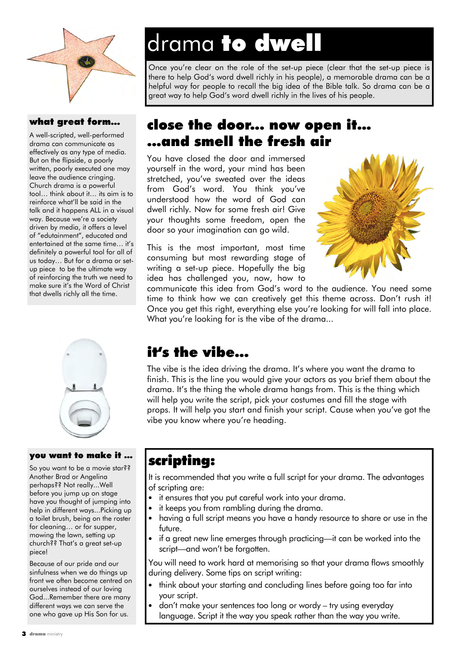

### what great form…

A well-scripted, well-performed drama can communicate as effectively as any type of media. But on the flipside, a poorly written, poorly executed one may leave the audience cringing. Church drama is a powerful tool… think about it… its aim is to reinforce what'll be said in the talk and it happens ALL in a visual way. Because we're a society driven by media, it offers a level of "edutainment", educated and entertained at the same time… it's definitely a powerful tool for all of us today… But for a drama or setup piece to be the ultimate way of reinforcing the truth we need to make sure it's the Word of Christ that dwells richly all the time.



#### you want to make it …

So you want to be a movie star?? Another Brad or Angelina perhaps?? Not really...Well before you jump up on stage have you thought of jumping into help in different ways...Picking up a toilet brush, being on the roster for cleaning… or for supper, mowing the lawn, setting up church?? That's a great set-up piece!

Because of our pride and our sinfulness when we do things up front we often become centred on ourselves instead of our loving God...Remember there are many different ways we can serve the one who gave up His Son for us.

## drama to dwell

Once you're clear on the role of the set-up piece (clear that the set-up piece is there to help God's word dwell richly in his people), a memorable drama can be a helpful way for people to recall the big idea of the Bible talk. So drama can be a great way to help God's word dwell richly in the lives of his people.

## close the door... now open it… ...and smell the fresh air

You have closed the door and immersed yourself in the word, your mind has been stretched, you've sweated over the ideas from God's word. You think you've understood how the word of God can dwell richly. Now for some fresh air! Give your thoughts some freedom, open the door so your imagination can go wild.

This is the most important, most time consuming but most rewarding stage of writing a set-up piece. Hopefully the big idea has challenged you, now, how to



communicate this idea from God's word to the audience. You need some time to think how we can creatively get this theme across. Don't rush it! Once you get this right, everything else you're looking for will fall into place. What you're looking for is the vibe of the drama...

## it's the vibe...

The vibe is the idea driving the drama. It's where you want the drama to finish. This is the line you would give your actors as you brief them about the drama. It's the thing the whole drama hangs from. This is the thing which will help you write the script, pick your costumes and fill the stage with props. It will help you start and finish your script. Cause when you've got the vibe you know where you're heading.

## scripting:

It is recommended that you write a full script for your drama. The advantages of scripting are:

- it ensures that you put careful work into your drama.
- it keeps you from rambling during the drama.
- having a full script means you have a handy resource to share or use in the future.
- if a great new line emerges through practicing—it can be worked into the script—and won't be forgotten.

You will need to work hard at memorising so that your drama flows smoothly during delivery. Some tips on script writing:

- think about your starting and concluding lines before going too far into your script.
- don't make your sentences too long or wordy try using everyday language. Script it the way you speak rather than the way you write.